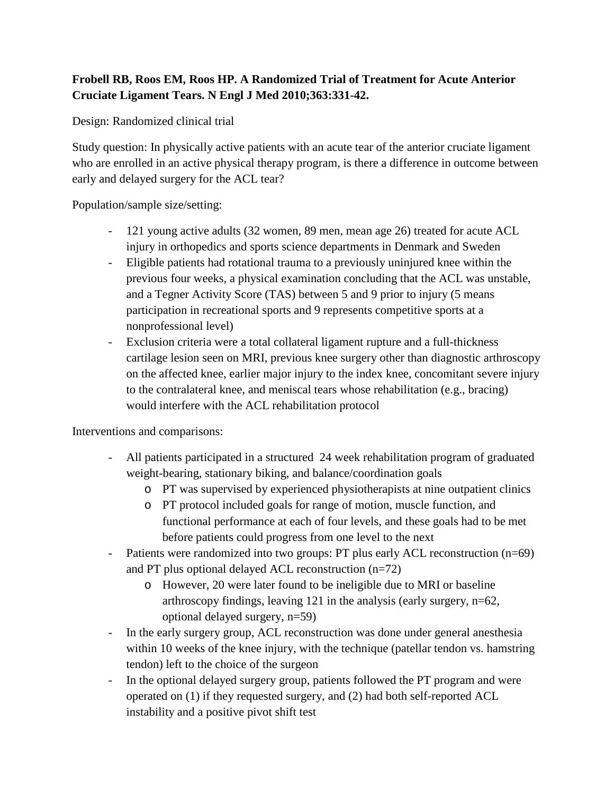## **Frobell RB, Roos EM, Roos HP. A Randomized Trial of Treatment for Acute Anterior Cruciate Ligament Tears. N Engl J Med 2010;363:331-42.**

Design: Randomized clinical trial

Study question: In physically active patients with an acute tear of the anterior cruciate ligament who are enrolled in an active physical therapy program, is there a difference in outcome between early and delayed surgery for the ACL tear?

Population/sample size/setting:

- 121 young active adults (32 women, 89 men, mean age 26) treated for acute ACL injury in orthopedics and sports science departments in Denmark and Sweden
- Eligible patients had rotational trauma to a previously uninjured knee within the previous four weeks, a physical examination concluding that the ACL was unstable, and a Tegner Activity Score (TAS) between 5 and 9 prior to injury (5 means participation in recreational sports and 9 represents competitive sports at a nonprofessional level)
- Exclusion criteria were a total collateral ligament rupture and a full-thickness cartilage lesion seen on MRI, previous knee surgery other than diagnostic arthroscopy on the affected knee, earlier major injury to the index knee, concomitant severe injury to the contralateral knee, and meniscal tears whose rehabilitation (e.g., bracing) would interfere with the ACL rehabilitation protocol

Interventions and comparisons:

- All patients participated in a structured 24 week rehabilitation program of graduated weight-bearing, stationary biking, and balance/coordination goals
	- o PT was supervised by experienced physiotherapists at nine outpatient clinics
	- o PT protocol included goals for range of motion, muscle function, and functional performance at each of four levels, and these goals had to be met before patients could progress from one level to the next
- Patients were randomized into two groups: PT plus early ACL reconstruction (n=69) and PT plus optional delayed ACL reconstruction (n=72)
	- o However, 20 were later found to be ineligible due to MRI or baseline arthroscopy findings, leaving 121 in the analysis (early surgery, n=62, optional delayed surgery, n=59)
- In the early surgery group, ACL reconstruction was done under general anesthesia within 10 weeks of the knee injury, with the technique (patellar tendon vs. hamstring tendon) left to the choice of the surgeon
- In the optional delayed surgery group, patients followed the PT program and were operated on (1) if they requested surgery, and (2) had both self-reported ACL instability and a positive pivot shift test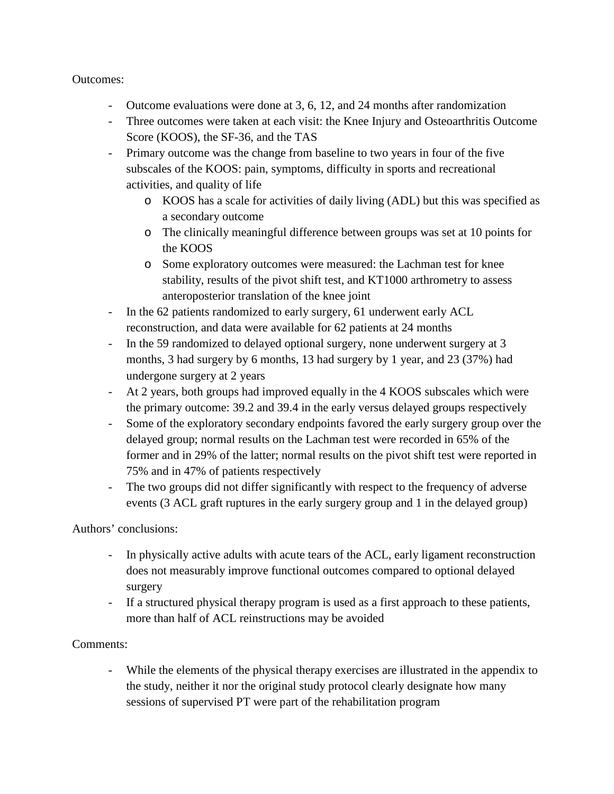## Outcomes:

- Outcome evaluations were done at 3, 6, 12, and 24 months after randomization
- Three outcomes were taken at each visit: the Knee Injury and Osteoarthritis Outcome Score (KOOS), the SF-36, and the TAS
- Primary outcome was the change from baseline to two years in four of the five subscales of the KOOS: pain, symptoms, difficulty in sports and recreational activities, and quality of life
	- o KOOS has a scale for activities of daily living (ADL) but this was specified as a secondary outcome
	- o The clinically meaningful difference between groups was set at 10 points for the KOOS
	- o Some exploratory outcomes were measured: the Lachman test for knee stability, results of the pivot shift test, and KT1000 arthrometry to assess anteroposterior translation of the knee joint
- In the 62 patients randomized to early surgery, 61 underwent early ACL reconstruction, and data were available for 62 patients at 24 months
- In the 59 randomized to delayed optional surgery, none underwent surgery at 3 months, 3 had surgery by 6 months, 13 had surgery by 1 year, and 23 (37%) had undergone surgery at 2 years
- At 2 years, both groups had improved equally in the 4 KOOS subscales which were the primary outcome: 39.2 and 39.4 in the early versus delayed groups respectively
- Some of the exploratory secondary endpoints favored the early surgery group over the delayed group; normal results on the Lachman test were recorded in 65% of the former and in 29% of the latter; normal results on the pivot shift test were reported in 75% and in 47% of patients respectively
- The two groups did not differ significantly with respect to the frequency of adverse events (3 ACL graft ruptures in the early surgery group and 1 in the delayed group)

## Authors' conclusions:

- In physically active adults with acute tears of the ACL, early ligament reconstruction does not measurably improve functional outcomes compared to optional delayed surgery
- If a structured physical therapy program is used as a first approach to these patients, more than half of ACL reinstructions may be avoided

## Comments:

- While the elements of the physical therapy exercises are illustrated in the appendix to the study, neither it nor the original study protocol clearly designate how many sessions of supervised PT were part of the rehabilitation program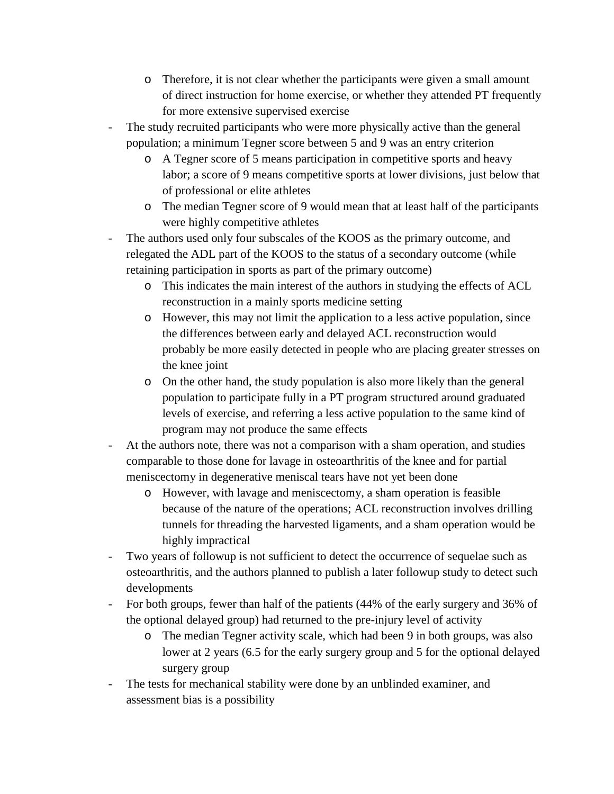- o Therefore, it is not clear whether the participants were given a small amount of direct instruction for home exercise, or whether they attended PT frequently for more extensive supervised exercise
- The study recruited participants who were more physically active than the general population; a minimum Tegner score between 5 and 9 was an entry criterion
	- o A Tegner score of 5 means participation in competitive sports and heavy labor; a score of 9 means competitive sports at lower divisions, just below that of professional or elite athletes
	- o The median Tegner score of 9 would mean that at least half of the participants were highly competitive athletes
- The authors used only four subscales of the KOOS as the primary outcome, and relegated the ADL part of the KOOS to the status of a secondary outcome (while retaining participation in sports as part of the primary outcome)
	- o This indicates the main interest of the authors in studying the effects of ACL reconstruction in a mainly sports medicine setting
	- o However, this may not limit the application to a less active population, since the differences between early and delayed ACL reconstruction would probably be more easily detected in people who are placing greater stresses on the knee joint
	- o On the other hand, the study population is also more likely than the general population to participate fully in a PT program structured around graduated levels of exercise, and referring a less active population to the same kind of program may not produce the same effects
- At the authors note, there was not a comparison with a sham operation, and studies comparable to those done for lavage in osteoarthritis of the knee and for partial meniscectomy in degenerative meniscal tears have not yet been done
	- o However, with lavage and meniscectomy, a sham operation is feasible because of the nature of the operations; ACL reconstruction involves drilling tunnels for threading the harvested ligaments, and a sham operation would be highly impractical
- Two years of followup is not sufficient to detect the occurrence of sequelae such as osteoarthritis, and the authors planned to publish a later followup study to detect such developments
- For both groups, fewer than half of the patients (44% of the early surgery and 36% of the optional delayed group) had returned to the pre-injury level of activity
	- o The median Tegner activity scale, which had been 9 in both groups, was also lower at 2 years (6.5 for the early surgery group and 5 for the optional delayed surgery group
- The tests for mechanical stability were done by an unblinded examiner, and assessment bias is a possibility